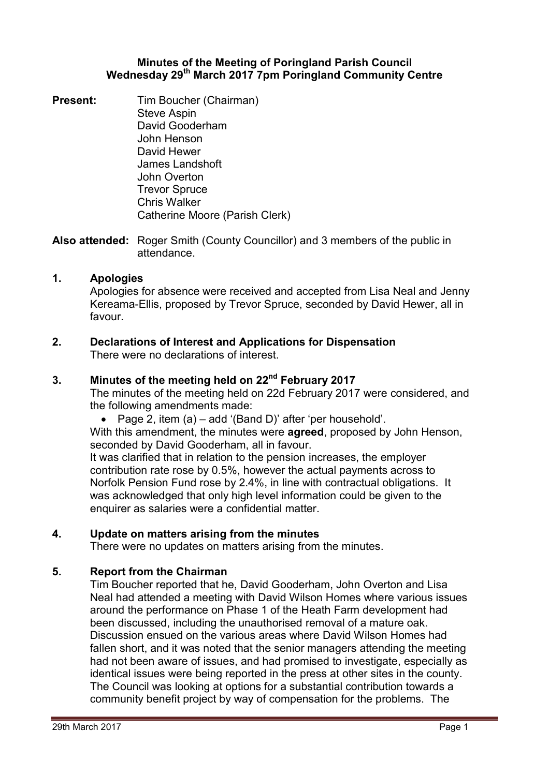### **Minutes of the Meeting of Poringland Parish Council Wednesday 29th March 2017 7pm Poringland Community Centre**

**Present:** Tim Boucher (Chairman) Steve Aspin David Gooderham John Henson David Hewer James Landshoft John Overton Trevor Spruce Chris Walker Catherine Moore (Parish Clerk)

**Also attended:** Roger Smith (County Councillor) and 3 members of the public in attendance.

## **1. Apologies**

Apologies for absence were received and accepted from Lisa Neal and Jenny Kereama-Ellis, proposed by Trevor Spruce, seconded by David Hewer, all in favour.

#### **2. Declarations of Interest and Applications for Dispensation** There were no declarations of interest.

## **3. Minutes of the meeting held on 22nd February 2017**

The minutes of the meeting held on 22d February 2017 were considered, and the following amendments made:

Page 2, item (a) – add '(Band D)' after 'per household'.

With this amendment, the minutes were **agreed**, proposed by John Henson, seconded by David Gooderham, all in favour.

It was clarified that in relation to the pension increases, the employer contribution rate rose by 0.5%, however the actual payments across to Norfolk Pension Fund rose by 2.4%, in line with contractual obligations. It was acknowledged that only high level information could be given to the enquirer as salaries were a confidential matter.

## **4. Update on matters arising from the minutes**

There were no updates on matters arising from the minutes.

# **5. Report from the Chairman**

Tim Boucher reported that he, David Gooderham, John Overton and Lisa Neal had attended a meeting with David Wilson Homes where various issues around the performance on Phase 1 of the Heath Farm development had been discussed, including the unauthorised removal of a mature oak. Discussion ensued on the various areas where David Wilson Homes had fallen short, and it was noted that the senior managers attending the meeting had not been aware of issues, and had promised to investigate, especially as identical issues were being reported in the press at other sites in the county. The Council was looking at options for a substantial contribution towards a community benefit project by way of compensation for the problems. The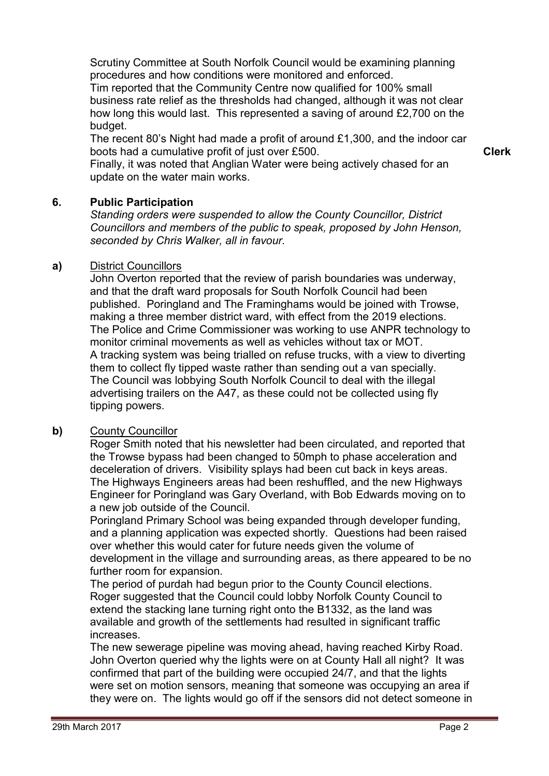Scrutiny Committee at South Norfolk Council would be examining planning procedures and how conditions were monitored and enforced.

Tim reported that the Community Centre now qualified for 100% small business rate relief as the thresholds had changed, although it was not clear how long this would last. This represented a saving of around £2,700 on the budget.

The recent 80's Night had made a profit of around £1,300, and the indoor car boots had a cumulative profit of just over £500.

**Clerk**

Finally, it was noted that Anglian Water were being actively chased for an update on the water main works.

# **6. Public Participation**

*Standing orders were suspended to allow the County Councillor, District Councillors and members of the public to speak, proposed by John Henson, seconded by Chris Walker, all in favour.* 

## **a)** District Councillors

John Overton reported that the review of parish boundaries was underway, and that the draft ward proposals for South Norfolk Council had been published. Poringland and The Framinghams would be joined with Trowse, making a three member district ward, with effect from the 2019 elections. The Police and Crime Commissioner was working to use ANPR technology to monitor criminal movements as well as vehicles without tax or MOT. A tracking system was being trialled on refuse trucks, with a view to diverting them to collect fly tipped waste rather than sending out a van specially. The Council was lobbying South Norfolk Council to deal with the illegal advertising trailers on the A47, as these could not be collected using fly tipping powers.

# **b)** County Councillor

Roger Smith noted that his newsletter had been circulated, and reported that the Trowse bypass had been changed to 50mph to phase acceleration and deceleration of drivers. Visibility splays had been cut back in keys areas. The Highways Engineers areas had been reshuffled, and the new Highways Engineer for Poringland was Gary Overland, with Bob Edwards moving on to a new job outside of the Council.

Poringland Primary School was being expanded through developer funding, and a planning application was expected shortly. Questions had been raised over whether this would cater for future needs given the volume of development in the village and surrounding areas, as there appeared to be no further room for expansion.

The period of purdah had begun prior to the County Council elections. Roger suggested that the Council could lobby Norfolk County Council to extend the stacking lane turning right onto the B1332, as the land was available and growth of the settlements had resulted in significant traffic increases.

The new sewerage pipeline was moving ahead, having reached Kirby Road. John Overton queried why the lights were on at County Hall all night? It was confirmed that part of the building were occupied 24/7, and that the lights were set on motion sensors, meaning that someone was occupying an area if they were on. The lights would go off if the sensors did not detect someone in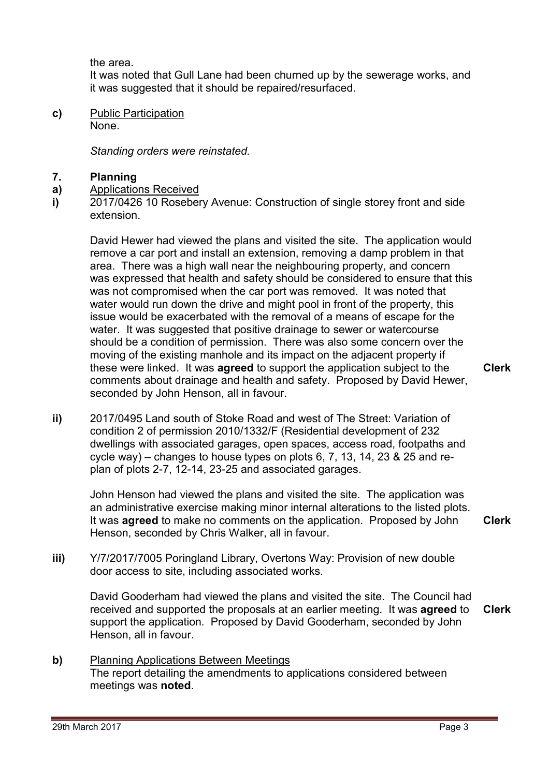the area.

It was noted that Gull Lane had been churned up by the sewerage works, and it was suggested that it should be repaired/resurfaced.

**c)** Public Participation None.

*Standing orders were reinstated.* 

#### **7. Planning**

- **a)**  Applications Received
- **i)**  2017/0426 10 Rosebery Avenue: Construction of single storey front and side extension.

David Hewer had viewed the plans and visited the site. The application would remove a car port and install an extension, removing a damp problem in that area. There was a high wall near the neighbouring property, and concern was expressed that health and safety should be considered to ensure that this was not compromised when the car port was removed. It was noted that water would run down the drive and might pool in front of the property, this issue would be exacerbated with the removal of a means of escape for the water. It was suggested that positive drainage to sewer or watercourse should be a condition of permission. There was also some concern over the moving of the existing manhole and its impact on the adjacent property if these were linked. It was **agreed** to support the application subject to the comments about drainage and health and safety. Proposed by David Hewer, seconded by John Henson, all in favour.

- **Clerk**
- **ii)** 2017/0495 Land south of Stoke Road and west of The Street: Variation of condition 2 of permission 2010/1332/F (Residential development of 232 dwellings with associated garages, open spaces, access road, footpaths and cycle way) – changes to house types on plots 6, 7, 13, 14, 23 & 25 and replan of plots 2-7, 12-14, 23-25 and associated garages.

John Henson had viewed the plans and visited the site. The application was an administrative exercise making minor internal alterations to the listed plots. It was **agreed** to make no comments on the application. Proposed by John Henson, seconded by Chris Walker, all in favour.

**Clerk**

**iii)** Y/7/2017/7005 Poringland Library, Overtons Way: Provision of new double door access to site, including associated works.

David Gooderham had viewed the plans and visited the site. The Council had received and supported the proposals at an earlier meeting. It was **agreed** to support the application. Proposed by David Gooderham, seconded by John Henson, all in favour. **Clerk**

**b)** Planning Applications Between Meetings The report detailing the amendments to applications considered between meetings was **noted**.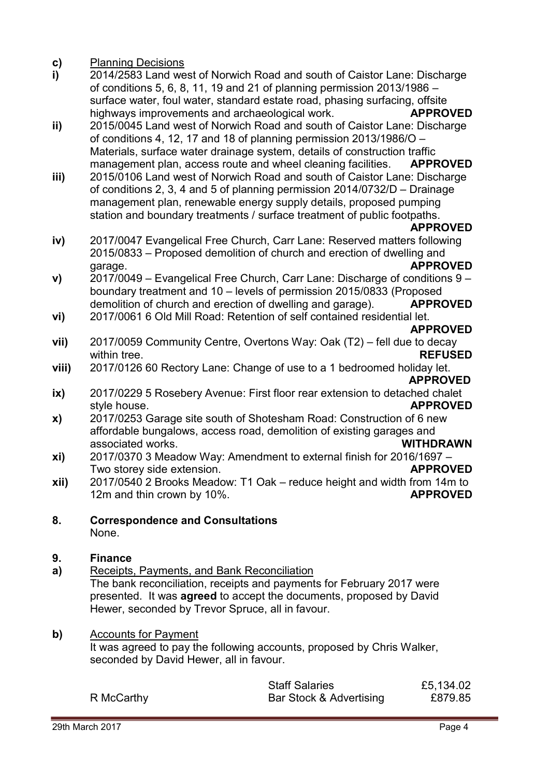#### **c)**  Planning Decisions

- **i)**  2014/2583 Land west of Norwich Road and south of Caistor Lane: Discharge of conditions 5, 6, 8, 11, 19 and 21 of planning permission 2013/1986 – surface water, foul water, standard estate road, phasing surfacing, offsite highways improvements and archaeological work. **APPROVED**
- **ii)**  2015/0045 Land west of Norwich Road and south of Caistor Lane: Discharge of conditions 4, 12, 17 and 18 of planning permission 2013/1986/O – Materials, surface water drainage system, details of construction traffic management plan, access route and wheel cleaning facilities. **APPROVED**
- **iii)**  2015/0106 Land west of Norwich Road and south of Caistor Lane: Discharge of conditions 2, 3, 4 and 5 of planning permission 2014/0732/D – Drainage management plan, renewable energy supply details, proposed pumping station and boundary treatments / surface treatment of public footpaths.

### **APPROVED**

- **iv)**  2017/0047 Evangelical Free Church, Carr Lane: Reserved matters following 2015/0833 – Proposed demolition of church and erection of dwelling and garage. **APPROVED**
- **v)**  2017/0049 – Evangelical Free Church, Carr Lane: Discharge of conditions 9 – boundary treatment and 10 – levels of permission 2015/0833 (Proposed demolition of church and erection of dwelling and garage). **APPROVED**
- **vi)**  2017/0061 6 Old Mill Road: Retention of self contained residential let.

## **APPROVED**

- **vii)**  2017/0059 Community Centre, Overtons Way: Oak (T2) – fell due to decay within tree. **REFUSED**
- **viii)**  2017/0126 60 Rectory Lane: Change of use to a 1 bedroomed holiday let. **APPROVED**
- **ix)**  2017/0229 5 Rosebery Avenue: First floor rear extension to detached chalet style house. **APPROVED**
- **x)**  2017/0253 Garage site south of Shotesham Road: Construction of 6 new affordable bungalows, access road, demolition of existing garages and associated works. **WITHDRAWN**
- **xi)**  2017/0370 3 Meadow Way: Amendment to external finish for 2016/1697 – Two storey side extension. **APPROVED**
- **xii)**  2017/0540 2 Brooks Meadow: T1 Oak – reduce height and width from 14m to 12m and thin crown by 10%. **APPROVED**
- **8. Correspondence and Consultations** None.

#### **9. Finance**

**a)**  Receipts, Payments, and Bank Reconciliation The bank reconciliation, receipts and payments for February 2017 were presented. It was **agreed** to accept the documents, proposed by David Hewer, seconded by Trevor Spruce, all in favour.

## **b)** Accounts for Payment

It was agreed to pay the following accounts, proposed by Chris Walker, seconded by David Hewer, all in favour.

|            | <b>Staff Salaries</b>   | £5,134.02 |
|------------|-------------------------|-----------|
| R McCarthy | Bar Stock & Advertising | £879.85   |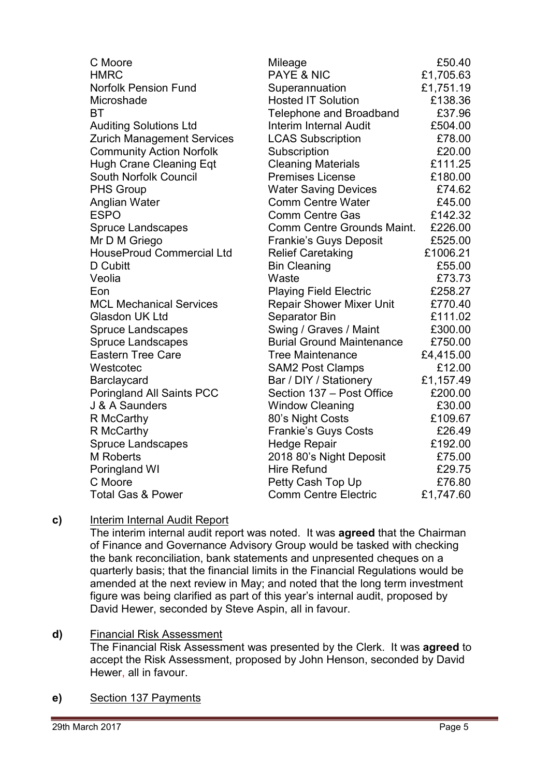| C Moore<br><b>HMRC</b>            | Mileage<br>PAYE & NIC            | £50.40<br>£1,705.63 |
|-----------------------------------|----------------------------------|---------------------|
| <b>Norfolk Pension Fund</b>       | Superannuation                   | £1,751.19           |
| Microshade                        | <b>Hosted IT Solution</b>        | £138.36             |
| BT                                | <b>Telephone and Broadband</b>   | £37.96              |
| <b>Auditing Solutions Ltd</b>     | Interim Internal Audit           | £504.00             |
| <b>Zurich Management Services</b> | <b>LCAS Subscription</b>         | £78.00              |
| <b>Community Action Norfolk</b>   | Subscription                     | £20.00              |
| <b>Hugh Crane Cleaning Eqt</b>    | <b>Cleaning Materials</b>        | £111.25             |
| South Norfolk Council             | <b>Premises License</b>          | £180.00             |
| <b>PHS Group</b>                  | <b>Water Saving Devices</b>      | £74.62              |
| Anglian Water                     | <b>Comm Centre Water</b>         | £45.00              |
| <b>ESPO</b>                       | <b>Comm Centre Gas</b>           | £142.32             |
| <b>Spruce Landscapes</b>          | Comm Centre Grounds Maint.       | £226.00             |
| Mr D M Griego                     | <b>Frankie's Guys Deposit</b>    | £525.00             |
| <b>HouseProud Commercial Ltd</b>  | <b>Relief Caretaking</b>         | £1006.21            |
| D Cubitt                          | <b>Bin Cleaning</b>              | £55.00              |
| Veolia                            | Waste                            | £73.73              |
| Eon                               | <b>Playing Field Electric</b>    | £258.27             |
| <b>MCL Mechanical Services</b>    | <b>Repair Shower Mixer Unit</b>  | £770.40             |
| Glasdon UK Ltd                    | Separator Bin                    | £111.02             |
| <b>Spruce Landscapes</b>          | Swing / Graves / Maint           | £300.00             |
| <b>Spruce Landscapes</b>          | <b>Burial Ground Maintenance</b> | £750.00             |
| <b>Eastern Tree Care</b>          | <b>Tree Maintenance</b>          | £4,415.00           |
| Westcotec                         | <b>SAM2 Post Clamps</b>          | £12.00              |
| Barclaycard                       | Bar / DIY / Stationery           | £1,157.49           |
| <b>Poringland All Saints PCC</b>  | Section 137 - Post Office        | £200.00             |
| J & A Saunders                    | <b>Window Cleaning</b>           | £30.00              |
| R McCarthy                        | 80's Night Costs                 | £109.67             |
| R McCarthy                        | <b>Frankie's Guys Costs</b>      | £26.49              |
| <b>Spruce Landscapes</b>          | <b>Hedge Repair</b>              | £192.00             |
| <b>M</b> Roberts                  | 2018 80's Night Deposit          | £75.00              |
| Poringland WI                     | <b>Hire Refund</b>               | £29.75              |
| C Moore                           | Petty Cash Top Up                | £76.80              |
| <b>Total Gas &amp; Power</b>      | <b>Comm Centre Electric</b>      | £1,747.60           |

# **c)** Interim Internal Audit Report

The interim internal audit report was noted. It was **agreed** that the Chairman of Finance and Governance Advisory Group would be tasked with checking the bank reconciliation, bank statements and unpresented cheques on a quarterly basis; that the financial limits in the Financial Regulations would be amended at the next review in May; and noted that the long term investment figure was being clarified as part of this year's internal audit, proposed by David Hewer, seconded by Steve Aspin, all in favour.

## **d)** Financial Risk Assessment

The Financial Risk Assessment was presented by the Clerk. It was **agreed** to accept the Risk Assessment, proposed by John Henson, seconded by David Hewer, all in favour.

**e)** Section 137 Payments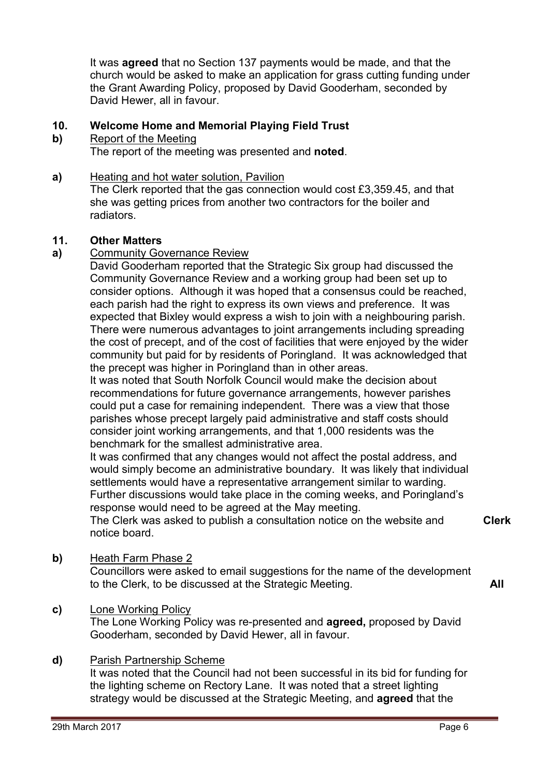It was **agreed** that no Section 137 payments would be made, and that the church would be asked to make an application for grass cutting funding under the Grant Awarding Policy, proposed by David Gooderham, seconded by David Hewer, all in favour.

#### **10. Welcome Home and Memorial Playing Field Trust**

#### **b)**  Report of the Meeting

The report of the meeting was presented and **noted**.

## **a)** Heating and hot water solution, Pavilion

The Clerk reported that the gas connection would cost £3,359.45, and that she was getting prices from another two contractors for the boiler and radiators.

## **11. Other Matters**

## **a)** Community Governance Review

David Gooderham reported that the Strategic Six group had discussed the Community Governance Review and a working group had been set up to consider options. Although it was hoped that a consensus could be reached, each parish had the right to express its own views and preference. It was expected that Bixley would express a wish to join with a neighbouring parish. There were numerous advantages to joint arrangements including spreading the cost of precept, and of the cost of facilities that were enjoyed by the wider community but paid for by residents of Poringland. It was acknowledged that the precept was higher in Poringland than in other areas.

It was noted that South Norfolk Council would make the decision about recommendations for future governance arrangements, however parishes could put a case for remaining independent. There was a view that those parishes whose precept largely paid administrative and staff costs should consider joint working arrangements, and that 1,000 residents was the benchmark for the smallest administrative area.

It was confirmed that any changes would not affect the postal address, and would simply become an administrative boundary. It was likely that individual settlements would have a representative arrangement similar to warding. Further discussions would take place in the coming weeks, and Poringland's response would need to be agreed at the May meeting.

The Clerk was asked to publish a consultation notice on the website and notice board.

**Clerk**

# **b)** Heath Farm Phase 2

Councillors were asked to email suggestions for the name of the development to the Clerk, to be discussed at the Strategic Meeting. **All** 

## **c)** Lone Working Policy

The Lone Working Policy was re-presented and **agreed,** proposed by David Gooderham, seconded by David Hewer, all in favour.

## **d)** Parish Partnership Scheme

It was noted that the Council had not been successful in its bid for funding for the lighting scheme on Rectory Lane. It was noted that a street lighting strategy would be discussed at the Strategic Meeting, and **agreed** that the